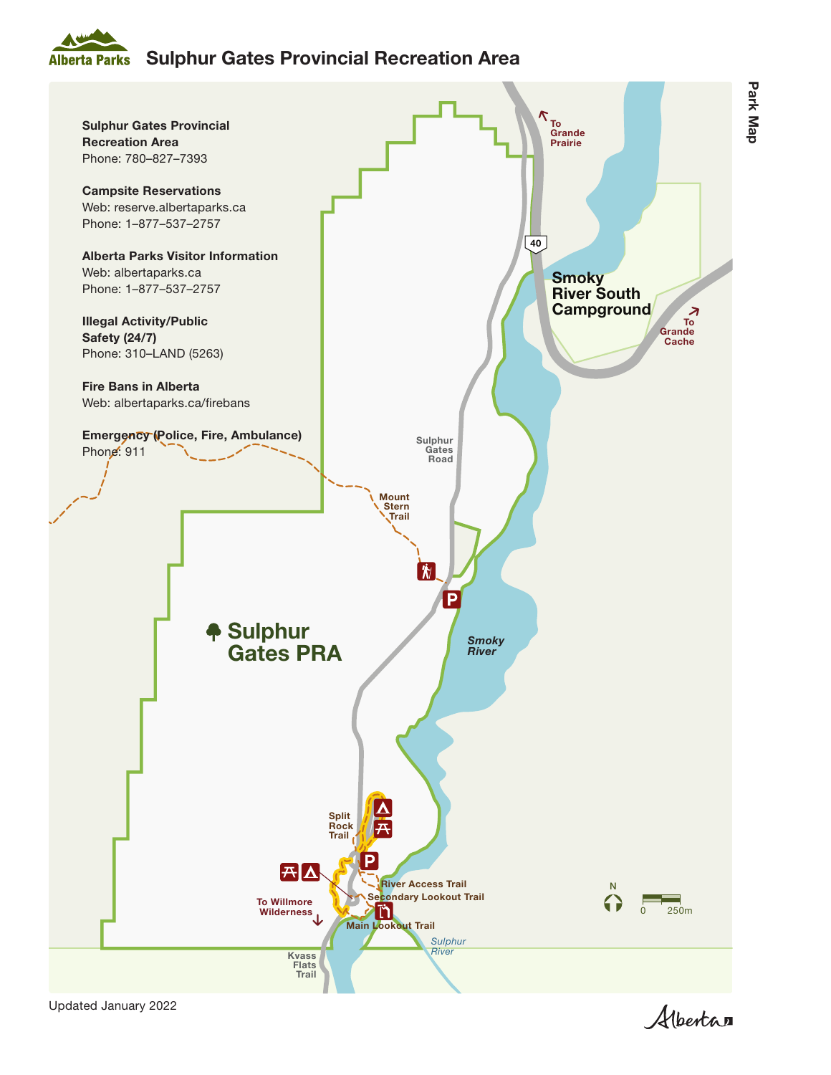## Sulphur Gates Provincial Recreation Area **Alberta Parks**



Updated January 2022

Albertan